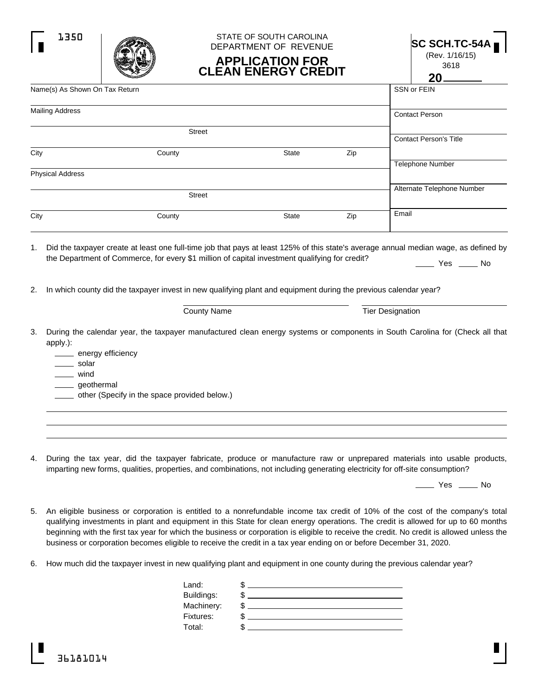|      |                                                                                                                                                                                                                                                                                                                                                                  | DEPARTMENT OF REVENUE<br><b>APPLICATION FOR</b><br><b>CLEAN ENERGY CREDIT</b> |     | $SC$ SCH.TC-54A $_{\blacksquare}$<br>(Rev. 1/16/15)<br>3618<br>20 |
|------|------------------------------------------------------------------------------------------------------------------------------------------------------------------------------------------------------------------------------------------------------------------------------------------------------------------------------------------------------------------|-------------------------------------------------------------------------------|-----|-------------------------------------------------------------------|
|      | Name(s) As Shown On Tax Return                                                                                                                                                                                                                                                                                                                                   | SSN or FEIN                                                                   |     |                                                                   |
|      | <b>Mailing Address</b>                                                                                                                                                                                                                                                                                                                                           | <b>Contact Person</b>                                                         |     |                                                                   |
|      | <b>Street</b>                                                                                                                                                                                                                                                                                                                                                    |                                                                               |     | <b>Contact Person's Title</b>                                     |
| City | County                                                                                                                                                                                                                                                                                                                                                           | State                                                                         | Zip |                                                                   |
|      | <b>Physical Address</b>                                                                                                                                                                                                                                                                                                                                          |                                                                               |     | <b>Telephone Number</b>                                           |
|      | <b>Street</b>                                                                                                                                                                                                                                                                                                                                                    |                                                                               |     | Alternate Telephone Number                                        |
| City | County                                                                                                                                                                                                                                                                                                                                                           | <b>State</b>                                                                  | Zip | Email                                                             |
|      | 1. Did the taxpayer create at least one full-time job that pays at least 125% of this state's average annual median wage, as defined by<br>the Department of Commerce, for every \$1 million of capital investment qualifying for credit?<br>2. In which county did the taxpayer invest in new qualifying plant and equipment during the previous calendar year? |                                                                               |     | $\rule{1em}{0.15mm}$ Yes $\rule{1em}{0.15mm}$ No                  |
|      | <b>County Name</b>                                                                                                                                                                                                                                                                                                                                               |                                                                               |     | <b>Tier Designation</b>                                           |
| 3.   | During the calendar year, the taxpayer manufactured clean energy systems or components in South Carolina for (Check all that<br>apply.):<br>energy efficiency<br>solar<br>wind<br>_ geothermal<br>other (Specify in the space provided below.)                                                                                                                   |                                                                               |     |                                                                   |

STATE OF SOUTH CAROLINA

4. During the tax year,did the taxpayer fabricate, produce or manufacture raw or unprepared materials into usable products, imparting new forms, qualities, properties, and combinations, not including generating electricity for off-site consumption?

 $\rule{1em}{0.15mm}$  Yes  $\rule{1em}{0.15mm}$  No

- 5. An eligible business or corporation is entitled to a nonrefundable income tax credit of 10% of the cost ofthe company's total qualifying investments in plant and equipment in this State for clean energy operations. The credit is allowed for up to 60 months beginning with the first tax year for which the business or corporation is eligible to receive the credit. No credit is allowed unless the business or corporation becomes eligible to receive the credit in a tax year ending on or before December 31, 2020.
- 6. How much did the taxpayer invest in new qualifying plant and equipment in one county during the previous calendar year?

| Land:      |    |  |
|------------|----|--|
| Buildings: |    |  |
| Machinery: | ۰D |  |
| Fixtures:  | ۰D |  |
| Total:     |    |  |
|            |    |  |

1350 | 2000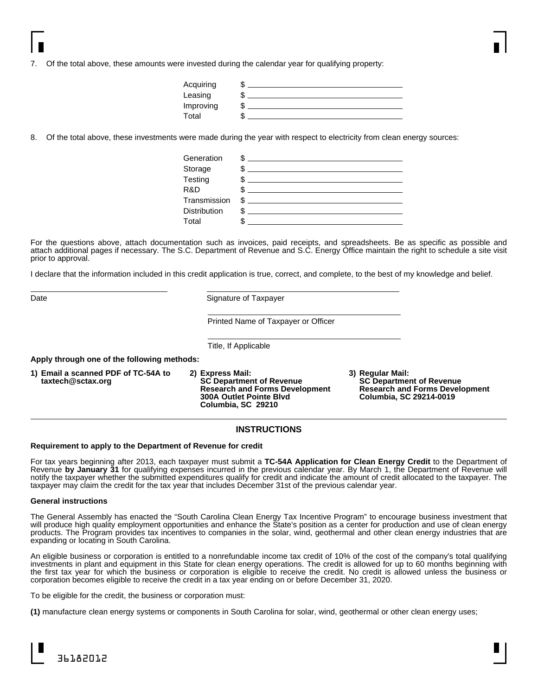7. Of the total above, these amounts were invested during the calendar year for qualifying property:

| Acquiring |   |  |
|-----------|---|--|
| Leasing   |   |  |
| Improving | w |  |
| Total     |   |  |

8. Of the total above, these investments were made during the year with respect to electricity from clean energy sources:

| Generation          | \$ |
|---------------------|----|
| Storage             | \$ |
| Testing             | \$ |
| R&D                 |    |
| Transmission        | \$ |
| <b>Distribution</b> | \$ |
| Total               |    |

For the questions above, attach documentation such as invoices, paid receipts, and spreadsheets. Be as specific as possible and attach additional pages if necessary. The S.C. Department of Revenue and S.C. Energy Office maintain the right to schedule a site visit prior to approval.

I declare that the information included in this credit application is true, correct, and complete, to the best of my knowledge and belief.

Date **Signature of Taxpayer** 

Printed Name of Taxpayer or Officer

Title, If Applicable

**Apply through one of the following methods:**

- **1) Email a scanned PDF of TC-54A to taxtech@sctax.org 2) Express Mail: SC Department of Revenue Research and Forms Development 300A Outlet Pointe Blvd Columbia, SC 29210**
	- **3) Regular Mail: SC Department of Revenue Research and Forms Development Columbia, SC 29214-0019**

## **INSTRUCTIONS**

## **Requirement to apply to the Department of Revenue for credit**

For tax years beginning after 2013, each taxpayer must submit a **TC-54A Application for Clean Energy Credit** to the Department of Revenue **by January 31** for qualifying expenses incurred in the previous calendar year. By March 1, the Department of Revenue will notify the taxpayer whether the submitted expenditures qualify for credit and indicate the amount of credit allocated to the taxpayer. The taxpayer may claim the credit for the tax year that includes December 31st of the previous calendar year.

## **General instructions**

The General Assembly has enacted the "South Carolina Clean Energy Tax Incentive Program" to encourage business investment that will produce high quality employment opportunities and enhance the State's position as a center for production and use of clean energy products. The Program provides tax incentives to companies in the solar, wind, geothermal and other clean energy industries that are expanding or locating in South Carolina.

An eligible business or corporation is entitled to a nonrefundable income tax credit of 10% of the cost of the company's total qualifying investments in plant and equipment in this State for clean energy operations. The credit is allowed for up to 60 months beginning with the first tax year for which the business or corporation is eligible to receive the credit. No credit is allowed unless the business or corporation becomes eligible to receive the credit in a tax year ending on or before December 31, 2020.

To be eligible for the credit, the business or corporation must:

**(1)** manufacture clean energy systems or components in South Carolina for solar, wind, geothermal or other clean energy uses;